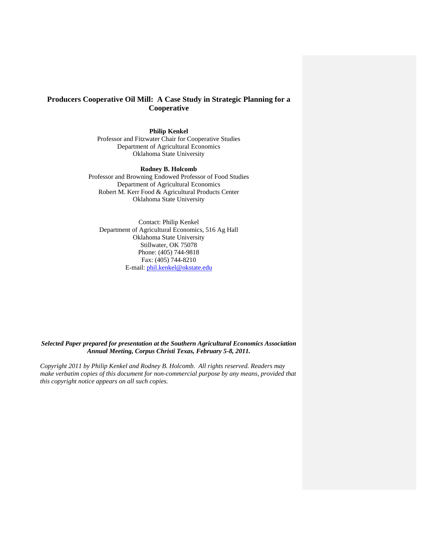# **Producers Cooperative Oil Mill: A Case Study in Strategic Planning for a Cooperative**

**Philip Kenkel** Professor and Fitzwater Chair for Cooperative Studies Department of Agricultural Economics Oklahoma State University

#### **Rodney B. Holcomb**

Professor and Browning Endowed Professor of Food Studies Department of Agricultural Economics Robert M. Kerr Food & Agricultural Products Center Oklahoma State University

Contact: Philip Kenkel Department of Agricultural Economics, 516 Ag Hall Oklahoma State University Stillwater, OK 75078 Phone: (405) 744-9818 Fax: (405) 744-8210 E-mail: phil.kenkel@okstate.edu

#### *Selected Paper prepared for presentation at the Southern Agricultural Economics Association Annual Meeting, Corpus Christi Texas, February 5-8, 2011.*

*Copyright 2011 by Philip Kenkel and Rodney B. Holcomb. All rights reserved. Readers may make verbatim copies of this document for non-commercial purpose by any means, provided that this copyright notice appears on all such copies.*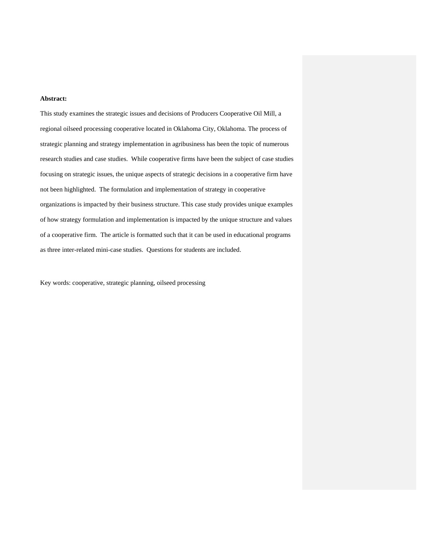# **Abstract:**

This study examines the strategic issues and decisions of Producers Cooperative Oil Mill, a regional oilseed processing cooperative located in Oklahoma City, Oklahoma. The process of strategic planning and strategy implementation in agribusiness has been the topic of numerous research studies and case studies. While cooperative firms have been the subject of case studies focusing on strategic issues, the unique aspects of strategic decisions in a cooperative firm have not been highlighted. The formulation and implementation of strategy in cooperative organizations is impacted by their business structure. This case study provides unique examples of how strategy formulation and implementation is impacted by the unique structure and values of a cooperative firm. The article is formatted such that it can be used in educational programs as three inter-related mini-case studies. Questions for students are included.

Key words: cooperative, strategic planning, oilseed processing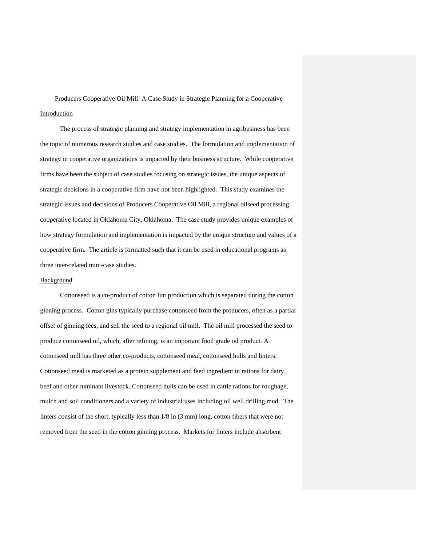Producers Cooperative Oil Mill: A Case Study in Strategic Planning for a Cooperative Introduction

The process of strategic planning and strategy implementation in agribusiness has been the topic of numerous research studies and case studies. The formulation and implementation of strategy in cooperative organizations is impacted by their business structure. While cooperative firms have been the subject of case studies focusing on strategic issues, the unique aspects of strategic decisions in a cooperative firm have not been highlighted. This study examines the strategic issues and decisions of Producers Cooperative Oil Mill, a regional oilseed processing cooperative located in Oklahoma City, Oklahoma. The case study provides unique examples of how strategy formulation and implementation is impacted by the unique structure and values of a cooperative firm. The article is formatted such that it can be used in educational programs as three inter-related mini-case studies.

#### **Background**

Cottonseed is a co-product of cotton lint production which is separated during the cotton ginning process. Cotton gins typically purchase cottonseed from the producers, often as a partial offset of ginning fees, and sell the seed to a regional oil mill. The oil mill processed the seed to produce cottonseed oil, which, after refining, is an important food grade oil product. A cottonseed mill has three other co-products, cottonseed meal, cottonseed hulls and linters. Cottonseed meal is marketed as a protein supplement and feed ingredient in rations for dairy, beef and other ruminant livestock. Cottonseed hulls can be used in cattle rations for roughage, mulch and soil conditioners and a variety of industrial uses including oil well drilling mud. The linters consist of the short, typically less than 1/8 in (3 mm) long, cotton fibers that were not removed from the seed in the cotton ginning process. Markets for linters include absorbent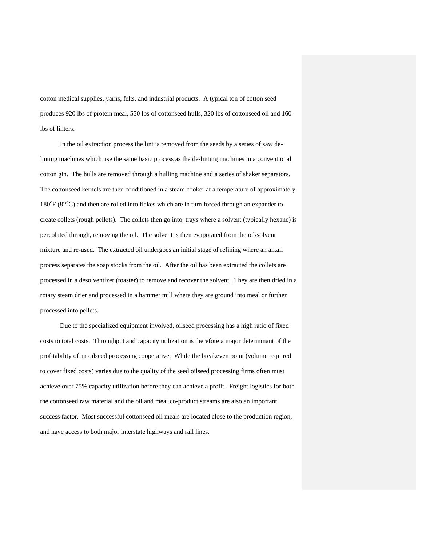cotton medical supplies, yarns, felts, and industrial products. A typical ton of cotton seed produces 920 lbs of protein meal, 550 lbs of cottonseed hulls, 320 lbs of cottonseed oil and 160 lbs of linters.

In the oil extraction process the lint is removed from the seeds by a series of saw delinting machines which use the same basic process as the de-linting machines in a conventional cotton gin. The hulls are removed through a hulling machine and a series of shaker separators. The cottonseed kernels are then conditioned in a steam cooker at a temperature of approximately 180°F (82°C) and then are rolled into flakes which are in turn forced through an expander to create collets (rough pellets). The collets then go into trays where a solvent (typically hexane) is percolated through, removing the oil. The solvent is then evaporated from the oil/solvent mixture and re-used. The extracted oil undergoes an initial stage of refining where an alkali process separates the soap stocks from the oil. After the oil has been extracted the collets are processed in a desolventizer (toaster) to remove and recover the solvent. They are then dried in a rotary steam drier and processed in a hammer mill where they are ground into meal or further processed into pellets.

Due to the specialized equipment involved, oilseed processing has a high ratio of fixed costs to total costs. Throughput and capacity utilization is therefore a major determinant of the profitability of an oilseed processing cooperative. While the breakeven point (volume required to cover fixed costs) varies due to the quality of the seed oilseed processing firms often must achieve over 75% capacity utilization before they can achieve a profit. Freight logistics for both the cottonseed raw material and the oil and meal co-product streams are also an important success factor. Most successful cottonseed oil meals are located close to the production region, and have access to both major interstate highways and rail lines.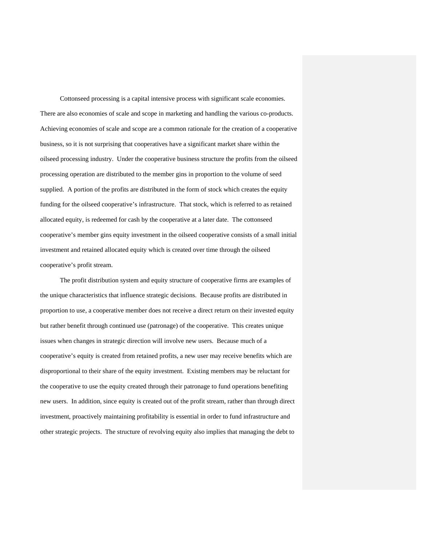Cottonseed processing is a capital intensive process with significant scale economies. There are also economies of scale and scope in marketing and handling the various co-products. Achieving economies of scale and scope are a common rationale for the creation of a cooperative business, so it is not surprising that cooperatives have a significant market share within the oilseed processing industry. Under the cooperative business structure the profits from the oilseed processing operation are distributed to the member gins in proportion to the volume of seed supplied. A portion of the profits are distributed in the form of stock which creates the equity funding for the oilseed cooperative's infrastructure. That stock, which is referred to as retained allocated equity, is redeemed for cash by the cooperative at a later date. The cottonseed cooperative's member gins equity investment in the oilseed cooperative consists of a small initial investment and retained allocated equity which is created over time through the oilseed cooperative's profit stream.

The profit distribution system and equity structure of cooperative firms are examples of the unique characteristics that influence strategic decisions. Because profits are distributed in proportion to use, a cooperative member does not receive a direct return on their invested equity but rather benefit through continued use (patronage) of the cooperative. This creates unique issues when changes in strategic direction will involve new users. Because much of a cooperative's equity is created from retained profits, a new user may receive benefits which are disproportional to their share of the equity investment. Existing members may be reluctant for the cooperative to use the equity created through their patronage to fund operations benefiting new users. In addition, since equity is created out of the profit stream, rather than through direct investment, proactively maintaining profitability is essential in order to fund infrastructure and other strategic projects. The structure of revolving equity also implies that managing the debt to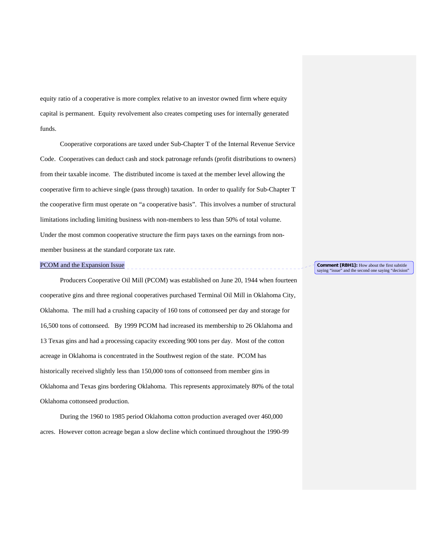equity ratio of a cooperative is more complex relative to an investor owned firm where equity capital is permanent. Equity revolvement also creates competing uses for internally generated funds.

Cooperative corporations are taxed under Sub-Chapter T of the Internal Revenue Service Code. Cooperatives can deduct cash and stock patronage refunds (profit distributions to owners) from their taxable income. The distributed income is taxed at the member level allowing the cooperative firm to achieve single (pass through) taxation. In order to qualify for Sub-Chapter T the cooperative firm must operate on "a cooperative basis". This involves a number of structural limitations including limiting business with non-members to less than 50% of total volume. Under the most common cooperative structure the firm pays taxes on the earnings from nonmember business at the standard corporate tax rate.

<u> 22222222222222</u>

# PCOM and the Expansion Issue

Producers Cooperative Oil Mill (PCOM) was established on June 20, 1944 when fourteen cooperative gins and three regional cooperatives purchased Terminal Oil Mill in Oklahoma City, Oklahoma. The mill had a crushing capacity of 160 tons of cottonseed per day and storage for 16,500 tons of cottonseed. By 1999 PCOM had increased its membership to 26 Oklahoma and 13 Texas gins and had a processing capacity exceeding 900 tons per day. Most of the cotton acreage in Oklahoma is concentrated in the Southwest region of the state. PCOM has historically received slightly less than 150,000 tons of cottonseed from member gins in Oklahoma and Texas gins bordering Oklahoma. This represents approximately 80% of the total Oklahoma cottonseed production.

During the 1960 to 1985 period Oklahoma cotton production averaged over 460,000 acres. However cotton acreage began a slow decline which continued throughout the 1990-99 **Comment [RBH1]:** How about the first subtitle saying "issue" and the second one saying "decision"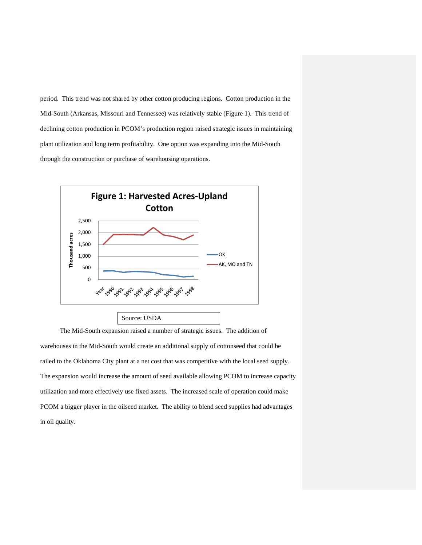period. This trend was not shared by other cotton producing regions. Cotton production in the Mid-South (Arkansas, Missouri and Tennessee) was relatively stable (Figure 1). This trend of declining cotton production in PCOM's production region raised strategic issues in maintaining plant utilization and long term profitability. One option was expanding into the Mid-South through the construction or purchase of warehousing operations.



The Mid-South expansion raised a number of strategic issues. The addition of warehouses in the Mid-South would create an additional supply of cottonseed that could be railed to the Oklahoma City plant at a net cost that was competitive with the local seed supply. The expansion would increase the amount of seed available allowing PCOM to increase capacity utilization and more effectively use fixed assets. The increased scale of operation could make PCOM a bigger player in the oilseed market. The ability to blend seed supplies had advantages in oil quality.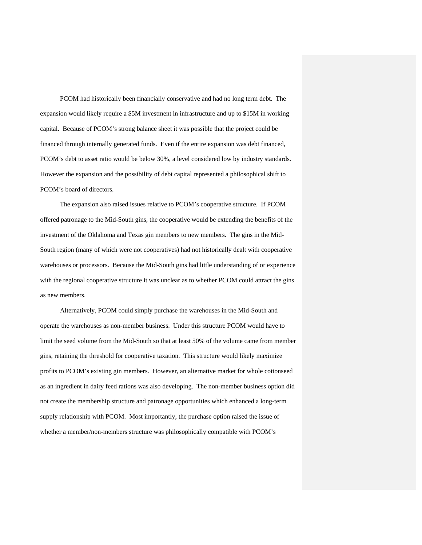PCOM had historically been financially conservative and had no long term debt. The expansion would likely require a \$5M investment in infrastructure and up to \$15M in working capital. Because of PCOM's strong balance sheet it was possible that the project could be financed through internally generated funds. Even if the entire expansion was debt financed, PCOM's debt to asset ratio would be below 30%, a level considered low by industry standards. However the expansion and the possibility of debt capital represented a philosophical shift to PCOM's board of directors.

The expansion also raised issues relative to PCOM's cooperative structure. If PCOM offered patronage to the Mid-South gins, the cooperative would be extending the benefits of the investment of the Oklahoma and Texas gin members to new members. The gins in the Mid-South region (many of which were not cooperatives) had not historically dealt with cooperative warehouses or processors. Because the Mid-South gins had little understanding of or experience with the regional cooperative structure it was unclear as to whether PCOM could attract the gins as new members.

Alternatively, PCOM could simply purchase the warehouses in the Mid-South and operate the warehouses as non-member business. Under this structure PCOM would have to limit the seed volume from the Mid-South so that at least 50% of the volume came from member gins, retaining the threshold for cooperative taxation. This structure would likely maximize profits to PCOM's existing gin members. However, an alternative market for whole cottonseed as an ingredient in dairy feed rations was also developing. The non-member business option did not create the membership structure and patronage opportunities which enhanced a long-term supply relationship with PCOM. Most importantly, the purchase option raised the issue of whether a member/non-members structure was philosophically compatible with PCOM's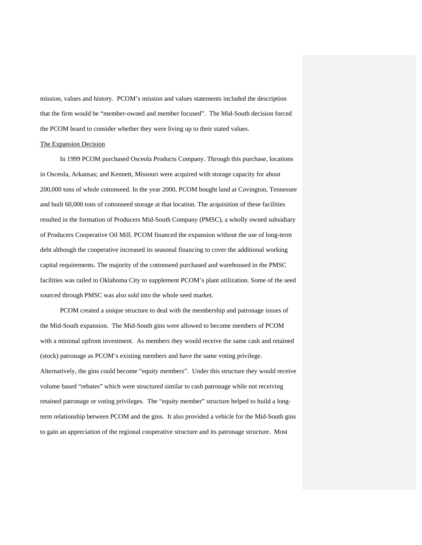mission, values and history. PCOM's mission and values statements included the description that the firm would be "member-owned and member focused". The Mid-South decision forced the PCOM board to consider whether they were living up to their stated values.

### The Expansion Decision

In 1999 PCOM purchased Osceola Products Company. Through this purchase, locations in Osceola, Arkansas; and Kennett, Missouri were acquired with storage capacity for about 200,000 tons of whole cottonseed. In the year 2000, PCOM bought land at Covington, Tennessee and built 60,000 tons of cottonseed storage at that location. The acquisition of these facilities resulted in the formation of Producers Mid-South Company (PMSC), a wholly owned subsidiary of Producers Cooperative Oil Mill. PCOM financed the expansion without the use of long-term debt although the cooperative increased its seasonal financing to cover the additional working capital requirements. The majority of the cottonseed purchased and warehoused in the PMSC facilities was railed to Oklahoma City to supplement PCOM's plant utilization. Some of the seed sourced through PMSC was also sold into the whole seed market.

PCOM created a unique structure to deal with the membership and patronage issues of the Mid-South expansion. The Mid-South gins were allowed to become members of PCOM with a minimal upfront investment. As members they would receive the same cash and retained (stock) patronage as PCOM's existing members and have the same voting privilege. Alternatively, the gins could become "equity members". Under this structure they would receive volume based "rebates" which were structured similar to cash patronage while not receiving retained patronage or voting privileges. The "equity member" structure helped to build a longterm relationship between PCOM and the gins. It also provided a vehicle for the Mid-South gins to gain an appreciation of the regional cooperative structure and its patronage structure. Most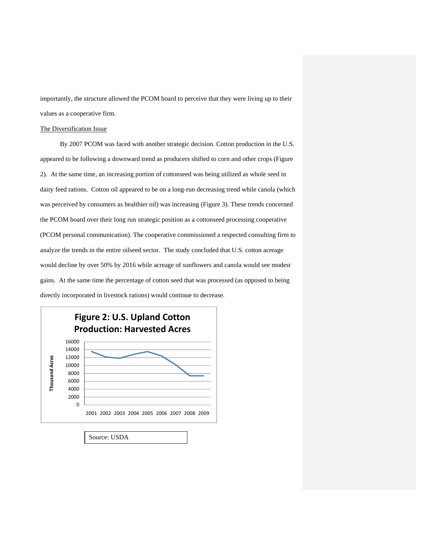importantly, the structure allowed the PCOM board to perceive that they were living up to their values as a cooperative firm.

#### The Diversification Issue

By 2007 PCOM was faced with another strategic decision. Cotton production in the U.S. appeared to be following a downward trend as producers shifted to corn and other crops (Figure 2). At the same time, an increasing portion of cottonseed was being utilized as whole seed in dairy feed rations. Cotton oil appeared to be on a long-run decreasing trend while canola (which was perceived by consumers as healthier oil) was increasing (Figure 3). These trends concerned the PCOM board over their long run strategic position as a cottonseed processing cooperative (PCOM personal communication). The cooperative commissioned a respected consulting firm to analyze the trends in the entire oilseed sector. The study concluded that U.S. cotton acreage would decline by over 50% by 2016 while acreage of sunflowers and canola would see modest gains. At the same time the percentage of cotton seed that was processed (as opposed to being directly incorporated in livestock rations) would continue to decrease.



Source: USDA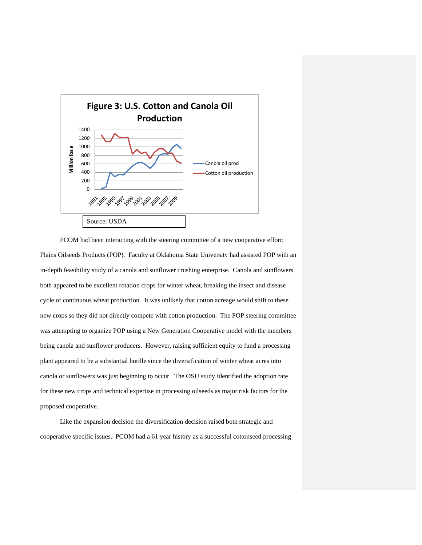

PCOM had been interacting with the steering committee of a new cooperative effort: Plains Oilseeds Products (POP). Faculty at Oklahoma State University had assisted POP with an in-depth feasibility study of a canola and sunflower crushing enterprise. Canola and sunflowers both appeared to be excellent rotation crops for winter wheat, breaking the insect and disease cycle of continuous wheat production. It was unlikely that cotton acreage would shift to these new crops so they did not directly compete with cotton production. The POP steering committee was attempting to organize POP using a New Generation Cooperative model with the members being canola and sunflower producers. However, raising sufficient equity to fund a processing plant appeared to be a substantial hurdle since the diversification of winter wheat acres into canola or sunflowers was just beginning to occur. The OSU study identified the adoption rate for these new crops and technical expertise in processing oilseeds as major risk factors for the proposed cooperative.

Like the expansion decision the diversification decision raised both strategic and cooperative specific issues. PCOM had a 61 year history as a successful cottonseed processing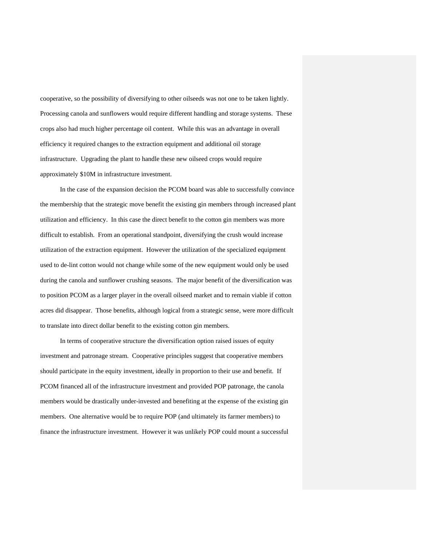cooperative, so the possibility of diversifying to other oilseeds was not one to be taken lightly. Processing canola and sunflowers would require different handling and storage systems. These crops also had much higher percentage oil content. While this was an advantage in overall efficiency it required changes to the extraction equipment and additional oil storage infrastructure. Upgrading the plant to handle these new oilseed crops would require approximately \$10M in infrastructure investment.

In the case of the expansion decision the PCOM board was able to successfully convince the membership that the strategic move benefit the existing gin members through increased plant utilization and efficiency. In this case the direct benefit to the cotton gin members was more difficult to establish. From an operational standpoint, diversifying the crush would increase utilization of the extraction equipment. However the utilization of the specialized equipment used to de-lint cotton would not change while some of the new equipment would only be used during the canola and sunflower crushing seasons. The major benefit of the diversification was to position PCOM as a larger player in the overall oilseed market and to remain viable if cotton acres did disappear. Those benefits, although logical from a strategic sense, were more difficult to translate into direct dollar benefit to the existing cotton gin members.

In terms of cooperative structure the diversification option raised issues of equity investment and patronage stream. Cooperative principles suggest that cooperative members should participate in the equity investment, ideally in proportion to their use and benefit. If PCOM financed all of the infrastructure investment and provided POP patronage, the canola members would be drastically under-invested and benefiting at the expense of the existing gin members. One alternative would be to require POP (and ultimately its farmer members) to finance the infrastructure investment. However it was unlikely POP could mount a successful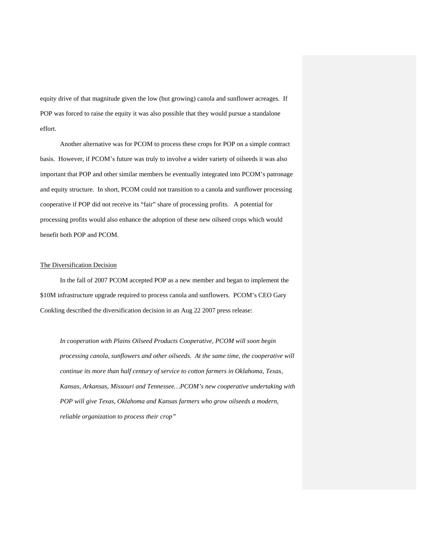equity drive of that magnitude given the low (but growing) canola and sunflower acreages. If POP was forced to raise the equity it was also possible that they would pursue a standalone effort.

Another alternative was for PCOM to process these crops for POP on a simple contract basis. However, if PCOM's future was truly to involve a wider variety of oilseeds it was also important that POP and other similar members be eventually integrated into PCOM's patronage and equity structure. In short, PCOM could not transition to a canola and sunflower processing cooperative if POP did not receive its "fair" share of processing profits. A potential for processing profits would also enhance the adoption of these new oilseed crops which would benefit both POP and PCOM.

# The Diversification Decision

In the fall of 2007 PCOM accepted POP as a new member and began to implement the \$10M infrastructure upgrade required to process canola and sunflowers. PCOM's CEO Gary Conkling described the diversification decision in an Aug 22 2007 press release:

*In cooperation with Plains Oilseed Products Cooperative, PCOM will soon begin processing canola, sunflowers and other oilseeds. At the same time, the cooperative will continue its more than half century of service to cotton farmers in Oklahoma, Texas, Kansas, Arkansas, Missouri and Tennessee…PCOM's new cooperative undertaking with POP will give Texas, Oklahoma and Kansas farmers who grow oilseeds a modern, reliable organization to process their crop"*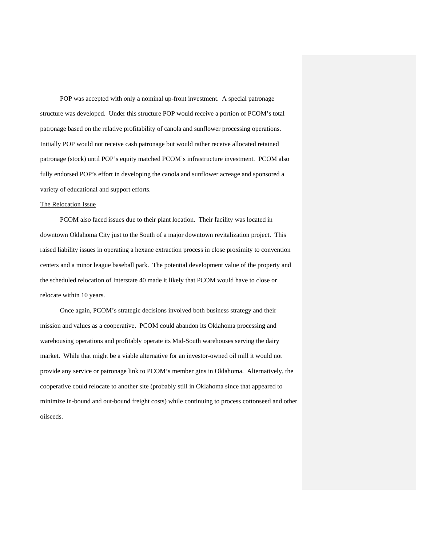POP was accepted with only a nominal up-front investment. A special patronage structure was developed. Under this structure POP would receive a portion of PCOM's total patronage based on the relative profitability of canola and sunflower processing operations. Initially POP would not receive cash patronage but would rather receive allocated retained patronage (stock) until POP's equity matched PCOM's infrastructure investment. PCOM also fully endorsed POP's effort in developing the canola and sunflower acreage and sponsored a variety of educational and support efforts.

### The Relocation Issue

PCOM also faced issues due to their plant location. Their facility was located in downtown Oklahoma City just to the South of a major downtown revitalization project. This raised liability issues in operating a hexane extraction process in close proximity to convention centers and a minor league baseball park. The potential development value of the property and the scheduled relocation of Interstate 40 made it likely that PCOM would have to close or relocate within 10 years.

Once again, PCOM's strategic decisions involved both business strategy and their mission and values as a cooperative. PCOM could abandon its Oklahoma processing and warehousing operations and profitably operate its Mid-South warehouses serving the dairy market. While that might be a viable alternative for an investor-owned oil mill it would not provide any service or patronage link to PCOM's member gins in Oklahoma. Alternatively, the cooperative could relocate to another site (probably still in Oklahoma since that appeared to minimize in-bound and out-bound freight costs) while continuing to process cottonseed and other oilseeds.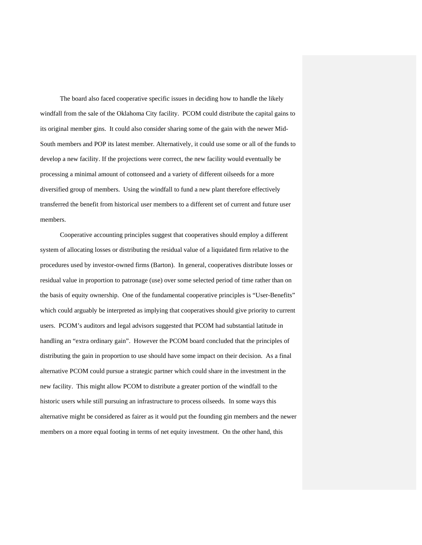The board also faced cooperative specific issues in deciding how to handle the likely windfall from the sale of the Oklahoma City facility. PCOM could distribute the capital gains to its original member gins. It could also consider sharing some of the gain with the newer Mid-South members and POP its latest member. Alternatively, it could use some or all of the funds to develop a new facility. If the projections were correct, the new facility would eventually be processing a minimal amount of cottonseed and a variety of different oilseeds for a more diversified group of members. Using the windfall to fund a new plant therefore effectively transferred the benefit from historical user members to a different set of current and future user members.

Cooperative accounting principles suggest that cooperatives should employ a different system of allocating losses or distributing the residual value of a liquidated firm relative to the procedures used by investor-owned firms (Barton). In general, cooperatives distribute losses or residual value in proportion to patronage (use) over some selected period of time rather than on the basis of equity ownership. One of the fundamental cooperative principles is "User-Benefits" which could arguably be interpreted as implying that cooperatives should give priority to current users. PCOM's auditors and legal advisors suggested that PCOM had substantial latitude in handling an "extra ordinary gain". However the PCOM board concluded that the principles of distributing the gain in proportion to use should have some impact on their decision. As a final alternative PCOM could pursue a strategic partner which could share in the investment in the new facility. This might allow PCOM to distribute a greater portion of the windfall to the historic users while still pursuing an infrastructure to process oilseeds. In some ways this alternative might be considered as fairer as it would put the founding gin members and the newer members on a more equal footing in terms of net equity investment. On the other hand, this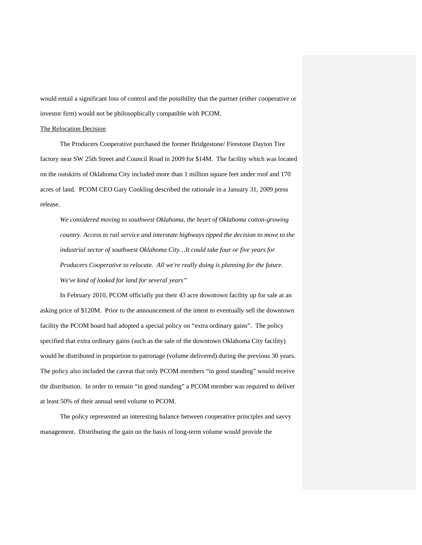would entail a significant loss of control and the possibility that the partner (either cooperative or investor firm) would not be philosophically compatible with PCOM.

# The Relocation Decision

The Producers Cooperative purchased the former Bridgestone/ Firestone Dayton Tire factory near SW 25th Street and Council Road in 2009 for \$14M. The facility which was located on the outskirts of Oklahoma City included more than 1 million square feet under roof and 170 acres of land. PCOM CEO Gary Conkling described the rationale in a January 31, 2009 press release.

*We considered moving to southwest Oklahoma, the heart of Oklahoma cotton-growing country. Access to rail service and interstate highways tipped the decision to move to the industrial sector of southwest Oklahoma City…It could take four or five years for Producers Cooperative to relocate. All we're really doing is planning for the future. We've kind of looked for land for several years"* 

In February 2010, PCOM officially put their 43 acre downtown facility up for sale at an asking price of \$120M. Prior to the announcement of the intent to eventually sell the downtown facility the PCOM board had adopted a special policy on "extra ordinary gains". The policy specified that extra ordinary gains (such as the sale of the downtown Oklahoma City facility) would be distributed in proportion to patronage (volume delivered) during the previous 30 years. The policy also included the caveat that only PCOM members "in good standing" would receive the distribution. In order to remain "in good standing" a PCOM member was required to deliver at least 50% of their annual seed volume to PCOM.

The policy represented an interesting balance between cooperative principles and savvy management. Distributing the gain on the basis of long-term volume would provide the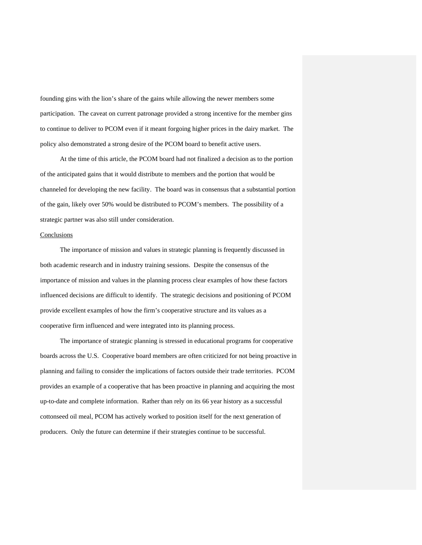founding gins with the lion's share of the gains while allowing the newer members some participation. The caveat on current patronage provided a strong incentive for the member gins to continue to deliver to PCOM even if it meant forgoing higher prices in the dairy market. The policy also demonstrated a strong desire of the PCOM board to benefit active users.

At the time of this article, the PCOM board had not finalized a decision as to the portion of the anticipated gains that it would distribute to members and the portion that would be channeled for developing the new facility. The board was in consensus that a substantial portion of the gain, likely over 50% would be distributed to PCOM's members. The possibility of a strategic partner was also still under consideration.

# **Conclusions**

The importance of mission and values in strategic planning is frequently discussed in both academic research and in industry training sessions. Despite the consensus of the importance of mission and values in the planning process clear examples of how these factors influenced decisions are difficult to identify. The strategic decisions and positioning of PCOM provide excellent examples of how the firm's cooperative structure and its values as a cooperative firm influenced and were integrated into its planning process.

The importance of strategic planning is stressed in educational programs for cooperative boards across the U.S. Cooperative board members are often criticized for not being proactive in planning and failing to consider the implications of factors outside their trade territories. PCOM provides an example of a cooperative that has been proactive in planning and acquiring the most up-to-date and complete information. Rather than rely on its 66 year history as a successful cottonseed oil meal, PCOM has actively worked to position itself for the next generation of producers. Only the future can determine if their strategies continue to be successful.